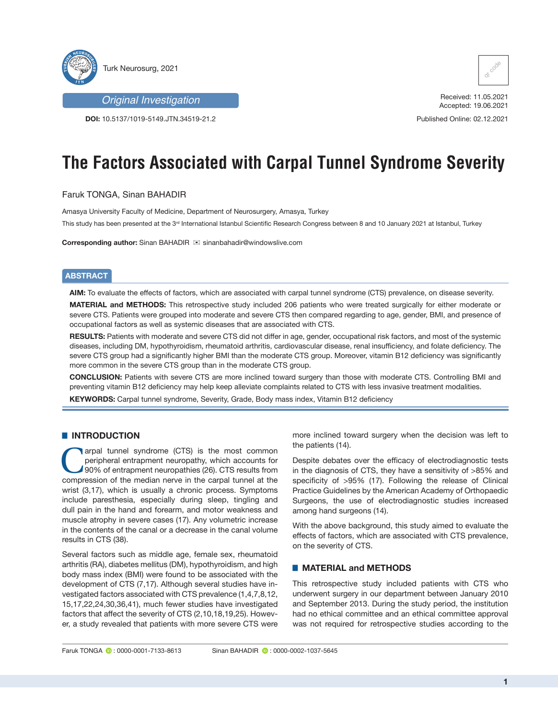

*Original Investigation*

**DOI:** 10.5137/1019-5149.JTN.34519-21.2



Received: 11.05.2021 Accepted: 19.06.2021

Published Online: 02.12.2021

# **The Factors Associated with Carpal Tunnel Syndrome Severity**

## Faruk TONGA, Sinan BAHADIR

Amasya University Faculty of Medicine, Department of Neurosurgery, Amasya, Turkey

This study has been presented at the 3<sup>rd</sup> International Istanbul Scientific Research Congress between 8 and 10 January 2021 at Istanbul, Turkey

**Corresponding author:** Sinan BAHADIR  $⊠$  sinanbahadir@windowslive.com

## **ABSTRACT**

**AIM:** To evaluate the effects of factors, which are associated with carpal tunnel syndrome (CTS) prevalence, on disease severity.

**MATERIAL and METHODS:** This retrospective study included 206 patients who were treated surgically for either moderate or severe CTS. Patients were grouped into moderate and severe CTS then compared regarding to age, gender, BMI, and presence of occupational factors as well as systemic diseases that are associated with CTS.

**RESULTS:** Patients with moderate and severe CTS did not differ in age, gender, occupational risk factors, and most of the systemic diseases, including DM, hypothyroidism, rheumatoid arthritis, cardiovascular disease, renal insufficiency, and folate deficiency. The severe CTS group had a significantly higher BMI than the moderate CTS group. Moreover, vitamin B12 deficiency was significantly more common in the severe CTS group than in the moderate CTS group.

**CONCLUSION:** Patients with severe CTS are more inclined toward surgery than those with moderate CTS. Controlling BMI and preventing vitamin B12 deficiency may help keep alleviate complaints related to CTS with less invasive treatment modalities.

**KEYWORDS:** Carpal tunnel syndrome, Severity, Grade, Body mass index, Vitamin B12 deficiency

## █ **INTRODUCTION**

arpal tunnel syndrome (CTS) is the most common peripheral entrapment neuropathy, which accounts for 90% of entrapment neuropathies (26). CTS results from compression of the median nerve in the carpal tunnel at the wrist (3,17), which is usually a chronic process. Symptoms include paresthesia, especially during sleep, tingling and dull pain in the hand and forearm, and motor weakness and muscle atrophy in severe cases (17). Any volumetric increase in the contents of the canal or a decrease in the canal volume results in CTS (38).

Several factors such as middle age, female sex, rheumatoid arthritis (RA), diabetes mellitus (DM), hypothyroidism, and high body mass index (BMI) were found to be associated with the development of CTS (7,17). Although several studies have investigated factors associated with CTS prevalence (1,4,7,8,12, 15,17,22,24,30,36,41), much fewer studies have investigated factors that affect the severity of CTS (2,10,18,19,25). However, a study revealed that patients with more severe CTS were

more inclined toward surgery when the decision was left to the patients (14).

Despite debates over the efficacy of electrodiagnostic tests in the diagnosis of CTS, they have a sensitivity of >85% and specificity of >95% (17). Following the release of Clinical Practice Guidelines by the American Academy of Orthopaedic Surgeons, the use of electrodiagnostic studies increased among hand surgeons (14).

With the above background, this study aimed to evaluate the effects of factors, which are associated with CTS prevalence, on the severity of CTS.

### █ **MATERIAL and METHODS**

This retrospective study included patients with CTS who underwent surgery in our department between January 2010 and September 2013. During the study period, the institution had no ethical committee and an ethical committee approval was not required for retrospective studies according to the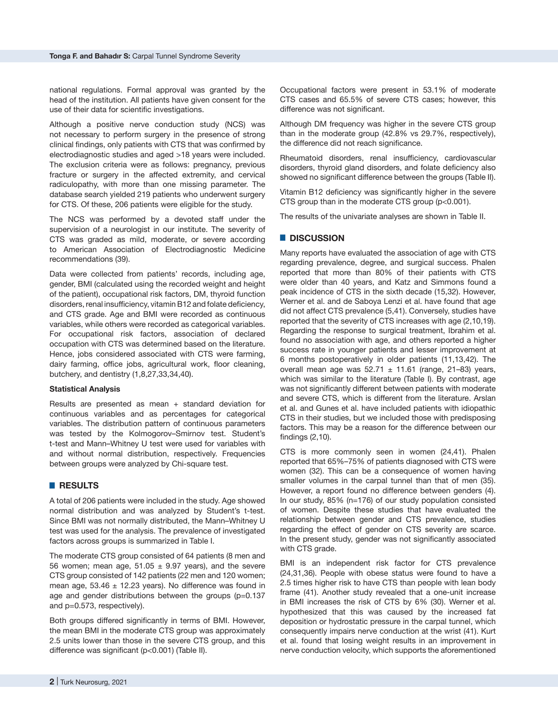national regulations. Formal approval was granted by the head of the institution. All patients have given consent for the use of their data for scientific investigations.

Although a positive nerve conduction study (NCS) was not necessary to perform surgery in the presence of strong clinical findings, only patients with CTS that was confirmed by electrodiagnostic studies and aged >18 years were included. The exclusion criteria were as follows: pregnancy, previous fracture or surgery in the affected extremity, and cervical radiculopathy, with more than one missing parameter. The database search yielded 219 patients who underwent surgery for CTS. Of these, 206 patients were eligible for the study.

The NCS was performed by a devoted staff under the supervision of a neurologist in our institute. The severity of CTS was graded as mild, moderate, or severe according to American Association of Electrodiagnostic Medicine recommendations (39).

Data were collected from patients' records, including age, gender, BMI (calculated using the recorded weight and height of the patient), occupational risk factors, DM, thyroid function disorders, renal insufficiency, vitamin B12 and folate deficiency, and CTS grade. Age and BMI were recorded as continuous variables, while others were recorded as categorical variables. For occupational risk factors, association of declared occupation with CTS was determined based on the literature. Hence, jobs considered associated with CTS were farming, dairy farming, office jobs, agricultural work, floor cleaning, butchery, and dentistry (1,8,27,33,34,40).

#### **Statistical Analysis**

Results are presented as mean + standard deviation for continuous variables and as percentages for categorical variables. The distribution pattern of continuous parameters was tested by the Kolmogorov–Smirnov test. Student's t-test and Mann–Whitney U test were used for variables with and without normal distribution, respectively. Frequencies between groups were analyzed by Chi-square test.

#### █ **RESULTS**

A total of 206 patients were included in the study. Age showed normal distribution and was analyzed by Student's t-test. Since BMI was not normally distributed, the Mann–Whitney U test was used for the analysis. The prevalence of investigated factors across groups is summarized in Table I.

The moderate CTS group consisted of 64 patients (8 men and 56 women; mean age,  $51.05 \pm 9.97$  years), and the severe CTS group consisted of 142 patients (22 men and 120 women; mean age,  $53.46 \pm 12.23$  years). No difference was found in age and gender distributions between the groups (p=0.137 and p=0.573, respectively).

Both groups differed significantly in terms of BMI. However, the mean BMI in the moderate CTS group was approximately 2.5 units lower than those in the severe CTS group, and this difference was significant (p<0.001) (Table II).

Occupational factors were present in 53.1% of moderate CTS cases and 65.5% of severe CTS cases; however, this difference was not significant.

Although DM frequency was higher in the severe CTS group than in the moderate group (42.8% vs 29.7%, respectively), the difference did not reach significance.

Rheumatoid disorders, renal insufficiency, cardiovascular disorders, thyroid gland disorders, and folate deficiency also showed no significant difference between the groups (Table II).

Vitamin B12 deficiency was significantly higher in the severe CTS group than in the moderate CTS group (p<0.001).

The results of the univariate analyses are shown in Table II.

#### █ **DISCUSSION**

Many reports have evaluated the association of age with CTS regarding prevalence, degree, and surgical success. Phalen reported that more than 80% of their patients with CTS were older than 40 years, and Katz and Simmons found a peak incidence of CTS in the sixth decade (15,32). However, Werner et al. and de Saboya Lenzi et al. have found that age did not affect CTS prevalence (5,41). Conversely, studies have reported that the severity of CTS increases with age (2,10,19). Regarding the response to surgical treatment, Ibrahim et al. found no association with age, and others reported a higher success rate in younger patients and lesser improvement at 6 months postoperatively in older patients (11,13,42). The overall mean age was  $52.71 \pm 11.61$  (range, 21-83) years, which was similar to the literature (Table I). By contrast, age was not significantly different between patients with moderate and severe CTS, which is different from the literature. Arslan et al. and Gunes et al. have included patients with idiopathic CTS in their studies, but we included those with predisposing factors. This may be a reason for the difference between our findings (2,10).

CTS is more commonly seen in women (24,41). Phalen reported that 65%–75% of patients diagnosed with CTS were women (32). This can be a consequence of women having smaller volumes in the carpal tunnel than that of men (35). However, a report found no difference between genders (4). In our study, 85% (n=176) of our study population consisted of women. Despite these studies that have evaluated the relationship between gender and CTS prevalence, studies regarding the effect of gender on CTS severity are scarce. In the present study, gender was not significantly associated with CTS grade.

BMI is an independent risk factor for CTS prevalence (24,31,36). People with obese status were found to have a 2.5 times higher risk to have CTS than people with lean body frame (41). Another study revealed that a one-unit increase in BMI increases the risk of CTS by 6% (30). Werner et al. hypothesized that this was caused by the increased fat deposition or hydrostatic pressure in the carpal tunnel, which consequently impairs nerve conduction at the wrist (41). Kurt et al. found that losing weight results in an improvement in nerve conduction velocity, which supports the aforementioned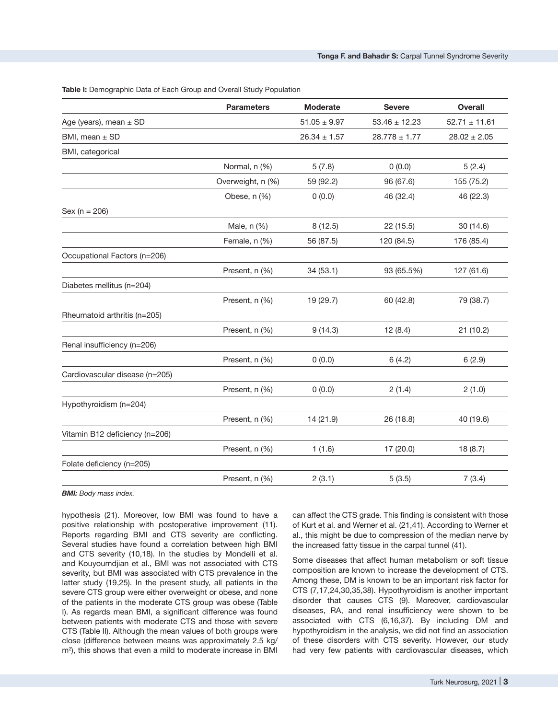**Table I:** Demographic Data of Each Group and Overall Study Population

| Age (years), mean ± SD<br>$51.05 \pm 9.97$<br>$53.46 \pm 12.23$<br>BMI, mean ± SD<br>$26.34 \pm 1.57$<br>$28.778 \pm 1.77$<br>BMI, categorical<br>Normal, n (%)<br>5(7.8)<br>0(0.0)<br>Overweight, n (%)<br>59 (92.2)<br>96 (67.6)<br>Obese, n (%)<br>0(0.0)<br>46 (32.4)<br>$Sex (n = 206)$<br>Male, n (%)<br>8(12.5)<br>22 (15.5)<br>Female, n (%)<br>56 (87.5)<br>120 (84.5)<br>Occupational Factors (n=206)<br>Present, n (%)<br>34(53.1)<br>93 (65.5%)<br>Diabetes mellitus (n=204)<br>Present, n (%)<br>19 (29.7)<br>60 (42.8)<br>Rheumatoid arthritis (n=205) | <b>Overall</b>    |
|----------------------------------------------------------------------------------------------------------------------------------------------------------------------------------------------------------------------------------------------------------------------------------------------------------------------------------------------------------------------------------------------------------------------------------------------------------------------------------------------------------------------------------------------------------------------|-------------------|
|                                                                                                                                                                                                                                                                                                                                                                                                                                                                                                                                                                      | $52.71 \pm 11.61$ |
|                                                                                                                                                                                                                                                                                                                                                                                                                                                                                                                                                                      | $28.02 \pm 2.05$  |
|                                                                                                                                                                                                                                                                                                                                                                                                                                                                                                                                                                      |                   |
|                                                                                                                                                                                                                                                                                                                                                                                                                                                                                                                                                                      | 5(2.4)            |
|                                                                                                                                                                                                                                                                                                                                                                                                                                                                                                                                                                      | 155 (75.2)        |
|                                                                                                                                                                                                                                                                                                                                                                                                                                                                                                                                                                      | 46 (22.3)         |
|                                                                                                                                                                                                                                                                                                                                                                                                                                                                                                                                                                      |                   |
|                                                                                                                                                                                                                                                                                                                                                                                                                                                                                                                                                                      | 30 (14.6)         |
|                                                                                                                                                                                                                                                                                                                                                                                                                                                                                                                                                                      | 176 (85.4)        |
|                                                                                                                                                                                                                                                                                                                                                                                                                                                                                                                                                                      |                   |
|                                                                                                                                                                                                                                                                                                                                                                                                                                                                                                                                                                      | 127 (61.6)        |
|                                                                                                                                                                                                                                                                                                                                                                                                                                                                                                                                                                      |                   |
|                                                                                                                                                                                                                                                                                                                                                                                                                                                                                                                                                                      | 79 (38.7)         |
|                                                                                                                                                                                                                                                                                                                                                                                                                                                                                                                                                                      |                   |
| Present, n (%)<br>12(8.4)<br>9(14.3)                                                                                                                                                                                                                                                                                                                                                                                                                                                                                                                                 | 21 (10.2)         |
| Renal insufficiency (n=206)                                                                                                                                                                                                                                                                                                                                                                                                                                                                                                                                          |                   |
| Present, n (%)<br>0(0.0)<br>6(4.2)                                                                                                                                                                                                                                                                                                                                                                                                                                                                                                                                   | 6(2.9)            |
| Cardiovascular disease (n=205)                                                                                                                                                                                                                                                                                                                                                                                                                                                                                                                                       |                   |
| 0(0.0)<br>2(1.4)<br>Present, n (%)                                                                                                                                                                                                                                                                                                                                                                                                                                                                                                                                   | 2(1.0)            |
| Hypothyroidism (n=204)                                                                                                                                                                                                                                                                                                                                                                                                                                                                                                                                               |                   |
| 26 (18.8)<br>Present, n (%)<br>14 (21.9)                                                                                                                                                                                                                                                                                                                                                                                                                                                                                                                             | 40 (19.6)         |
| Vitamin B12 deficiency (n=206)                                                                                                                                                                                                                                                                                                                                                                                                                                                                                                                                       |                   |
| Present, n (%)<br>1(1.6)<br>17 (20.0)                                                                                                                                                                                                                                                                                                                                                                                                                                                                                                                                | 18 (8.7)          |
| Folate deficiency (n=205)                                                                                                                                                                                                                                                                                                                                                                                                                                                                                                                                            |                   |
| 2(3.1)<br>5(3.5)<br>Present, n (%)                                                                                                                                                                                                                                                                                                                                                                                                                                                                                                                                   | 7(3.4)            |

*BMI: Body mass index.*

hypothesis (21). Moreover, low BMI was found to have a positive relationship with postoperative improvement (11). Reports regarding BMI and CTS severity are conflicting. Several studies have found a correlation between high BMI and CTS severity (10,18). In the studies by Mondelli et al. and Kouyoumdjian et al., BMI was not associated with CTS severity, but BMI was associated with CTS prevalence in the latter study (19,25). In the present study, all patients in the severe CTS group were either overweight or obese, and none of the patients in the moderate CTS group was obese (Table I). As regards mean BMI, a significant difference was found between patients with moderate CTS and those with severe CTS (Table II). Although the mean values of both groups were close (difference between means was approximately 2.5 kg/ m<sup>2</sup> ), this shows that even a mild to moderate increase in BMI can affect the CTS grade. This finding is consistent with those of Kurt et al. and Werner et al. (21,41). According to Werner et al., this might be due to compression of the median nerve by the increased fatty tissue in the carpal tunnel (41).

Some diseases that affect human metabolism or soft tissue composition are known to increase the development of CTS. Among these, DM is known to be an important risk factor for CTS (7,17,24,30,35,38). Hypothyroidism is another important disorder that causes CTS (9). Moreover, cardiovascular diseases, RA, and renal insufficiency were shown to be associated with CTS (6,16,37). By including DM and hypothyroidism in the analysis, we did not find an association of these disorders with CTS severity. However, our study had very few patients with cardiovascular diseases, which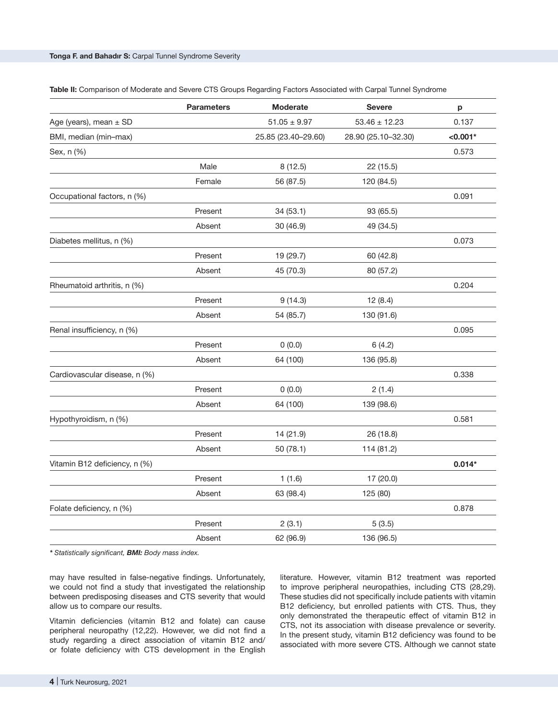|                               | <b>Parameters</b> | Moderate            | <b>Severe</b>       | р          |  |
|-------------------------------|-------------------|---------------------|---------------------|------------|--|
| Age (years), mean ± SD        |                   | $51.05\pm9.97$      | $53.46 \pm 12.23$   | 0.137      |  |
| BMI, median (min-max)         |                   | 25.85 (23.40-29.60) | 28.90 (25.10-32.30) | $< 0.001*$ |  |
| Sex, n (%)                    |                   |                     |                     | 0.573      |  |
|                               | Male              | 8(12.5)             | 22 (15.5)           |            |  |
|                               | Female            | 56 (87.5)           | 120 (84.5)          |            |  |
| Occupational factors, n (%)   |                   |                     |                     | 0.091      |  |
|                               | Present           | 34 (53.1)           | 93 (65.5)           |            |  |
|                               | Absent            | 30 (46.9)           | 49 (34.5)           |            |  |
| Diabetes mellitus, n (%)      |                   |                     |                     | 0.073      |  |
|                               | Present           | 19 (29.7)           | 60 (42.8)           |            |  |
|                               | Absent            | 45 (70.3)           | 80 (57.2)           |            |  |
| Rheumatoid arthritis, n (%)   |                   |                     |                     | 0.204      |  |
|                               | Present           | 9(14.3)             | 12(8.4)             |            |  |
|                               | Absent            | 54 (85.7)           | 130 (91.6)          |            |  |
| Renal insufficiency, n (%)    |                   |                     |                     | 0.095      |  |
|                               | Present           | 0(0.0)              | 6(4.2)              |            |  |
|                               | Absent            | 64 (100)            | 136 (95.8)          |            |  |
| Cardiovascular disease, n (%) |                   |                     |                     | 0.338      |  |
|                               | Present           | 0(0.0)              | 2(1.4)              |            |  |
|                               | Absent            | 64 (100)            | 139 (98.6)          |            |  |
| Hypothyroidism, n (%)         |                   |                     |                     | 0.581      |  |
|                               | Present           | 14 (21.9)           | 26 (18.8)           |            |  |
|                               | Absent            | 50 (78.1)           | 114 (81.2)          |            |  |
| Vitamin B12 deficiency, n (%) |                   |                     |                     | $0.014*$   |  |
|                               | Present           | 1(1.6)              | 17 (20.0)           |            |  |
|                               | Absent            | 63 (98.4)           | 125 (80)            |            |  |
| Folate deficiency, n (%)      |                   |                     |                     | 0.878      |  |
|                               | Present           | 2(3.1)              | 5(3.5)              |            |  |
|                               | Absent            | 62 (96.9)           | 136 (96.5)          |            |  |
|                               |                   |                     |                     |            |  |

**Table II:** Comparison of Moderate and Severe CTS Groups Regarding Factors Associated with Carpal Tunnel Syndrome

*\* Statistically significant, BMI: Body mass index.*

may have resulted in false-negative findings. Unfortunately, we could not find a study that investigated the relationship between predisposing diseases and CTS severity that would allow us to compare our results.

Vitamin deficiencies (vitamin B12 and folate) can cause peripheral neuropathy (12,22). However, we did not find a study regarding a direct association of vitamin B12 and/ or folate deficiency with CTS development in the English

literature. However, vitamin B12 treatment was reported to improve peripheral neuropathies, including CTS (28,29). These studies did not specifically include patients with vitamin B12 deficiency, but enrolled patients with CTS. Thus, they only demonstrated the therapeutic effect of vitamin B12 in CTS, not its association with disease prevalence or severity. In the present study, vitamin B12 deficiency was found to be associated with more severe CTS. Although we cannot state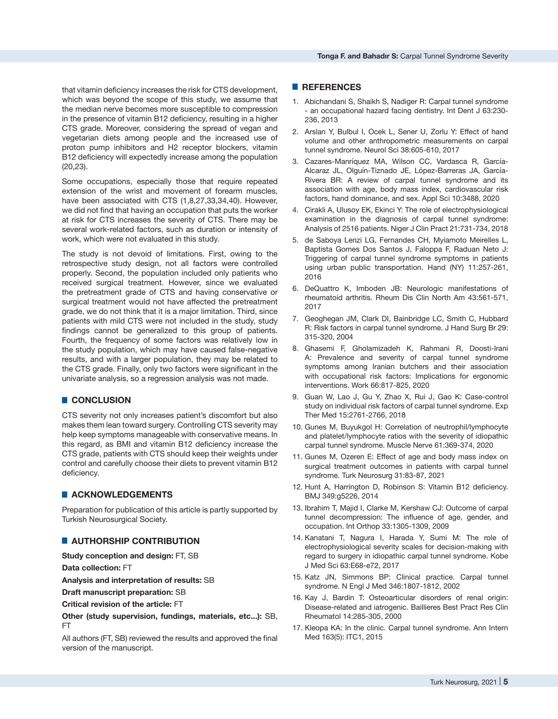that vitamin deficiency increases the risk for CTS development, which was beyond the scope of this study, we assume that the median nerve becomes more susceptible to compression in the presence of vitamin B12 deficiency, resulting in a higher CTS grade. Moreover, considering the spread of vegan and vegetarian diets among people and the increased use of proton pump inhibitors and H2 receptor blockers, vitamin B12 deficiency will expectedly increase among the population (20,23).

Some occupations, especially those that require repeated extension of the wrist and movement of forearm muscles, have been associated with CTS (1,8,27,33,34,40). However, we did not find that having an occupation that puts the worker at risk for CTS increases the severity of CTS. There may be several work-related factors, such as duration or intensity of work, which were not evaluated in this study.

The study is not devoid of limitations. First, owing to the retrospective study design, not all factors were controlled properly. Second, the population included only patients who received surgical treatment. However, since we evaluated the pretreatment grade of CTS and having conservative or surgical treatment would not have affected the pretreatment grade, we do not think that it is a major limitation. Third, since patients with mild CTS were not included in the study, study findings cannot be generalized to this group of patients. Fourth, the frequency of some factors was relatively low in the study population, which may have caused false-negative results, and with a larger population, they may be related to the CTS grade. Finally, only two factors were significant in the univariate analysis, so a regression analysis was not made.

#### █ **CONCLUSION**

CTS severity not only increases patient's discomfort but also makes them lean toward surgery. Controlling CTS severity may help keep symptoms manageable with conservative means. In this regard, as BMI and vitamin B12 deficiency increase the CTS grade, patients with CTS should keep their weights under control and carefully choose their diets to prevent vitamin B12 deficiency.

## █ **ACKNOWLEDGEMENTS**

Preparation for publication of this article is partly supported by Turkish Neurosurgical Society.

### █ **AUTHORSHIP CONTRIBUTION**

**Study conception and design:** FT, SB

**Data collection:** FT

**Analysis and interpretation of results:** SB

**Draft manuscript preparation:** SB

**Critical revision of the article:** FT

**Other (study supervision, fundings, materials, etc...):** SB, FT

All authors (FT, SB) reviewed the results and approved the final version of the manuscript.

#### █ **REFERENCES**

- 1. Abichandani S, Shaikh S, Nadiger R: Carpal tunnel syndrome - an occupational hazard facing dentistry. Int Dent J 63:230- 236, 2013
- 2. Arslan Y, Bulbul I, Ocek L, Sener U, Zorlu Y: Effect of hand volume and other anthropometric measurements on carpal tunnel syndrome. Neurol Sci 38:605-610, 2017
- 3. Cazares-Manríquez MA, Wilson CC, Vardasca R, García-Alcaraz JL, Olguín-Tiznado JE, López-Barreras JA, García-Rivera BR: A review of carpal tunnel syndrome and its association with age, body mass index, cardiovascular risk factors, hand dominance, and sex. Appl Sci 10:3488, 2020
- 4. Cirakli A, Ulusoy EK, Ekinci Y: The role of electrophysiological examination in the diagnosis of carpal tunnel syndrome: Analysis of 2516 patients. Niger J Clin Pract 21:731-734, 2018
- 5. de Saboya Lenzi LG, Fernandes CH, Myiamoto Meirelles L, Baptista Gomes Dos Santos J, Faloppa F, Raduan Neto J: Triggering of carpal tunnel syndrome symptoms in patients using urban public transportation. Hand (NY) 11:257-261, 2016
- 6. DeQuattro K, Imboden JB: Neurologic manifestations of rheumatoid arthritis. Rheum Dis Clin North Am 43:561-571, 2017
- 7. Geoghegan JM, Clark DI, Bainbridge LC, Smith C, Hubbard R: Risk factors in carpal tunnel syndrome. J Hand Surg Br 29: 315-320, 2004
- 8. Ghasemi F, Gholamizadeh K, Rahmani R, Doosti-Irani A: Prevalence and severity of carpal tunnel syndrome symptoms among Iranian butchers and their association with occupational risk factors: Implications for ergonomic interventions. Work 66:817-825, 2020
- 9. Guan W, Lao J, Gu Y, Zhao X, Rui J, Gao K: Case-control study on individual risk factors of carpal tunnel syndrome. Exp Ther Med 15:2761-2766, 2018
- 10. Gunes M, Buyukgol H: Correlation of neutrophil/lymphocyte and platelet/lymphocyte ratios with the severity of idiopathic carpal tunnel syndrome. Muscle Nerve 61:369-374, 2020
- 11. Gunes M, Ozeren E: Effect of age and body mass index on surgical treatment outcomes in patients with carpal tunnel syndrome. Turk Neurosurg 31:83-87, 2021
- 12. Hunt A, Harrington D, Robinson S: Vitamin B12 deficiency. BMJ 349:g5226, 2014
- 13. Ibrahim T, Majid I, Clarke M, Kershaw CJ: Outcome of carpal tunnel decompression: The influence of age, gender, and occupation. Int Orthop 33:1305-1309, 2009
- 14. Kanatani T, Nagura I, Harada Y, Sumi M: The role of electrophysiological severity scales for decision-making with regard to surgery in idiopathic carpal tunnel syndrome. Kobe J Med Sci 63:E68-e72, 2017
- 15. Katz JN, Simmons BP: Clinical practice. Carpal tunnel syndrome. N Engl J Med 346:1807-1812, 2002
- 16. Kay J, Bardin T: Osteoarticular disorders of renal origin: Disease-related and iatrogenic. Baillieres Best Pract Res Clin Rheumatol 14:285-305, 2000
- 17. Kleopa KA: In the clinic. Carpal tunnel syndrome. Ann Intern Med 163(5): ITC1, 2015